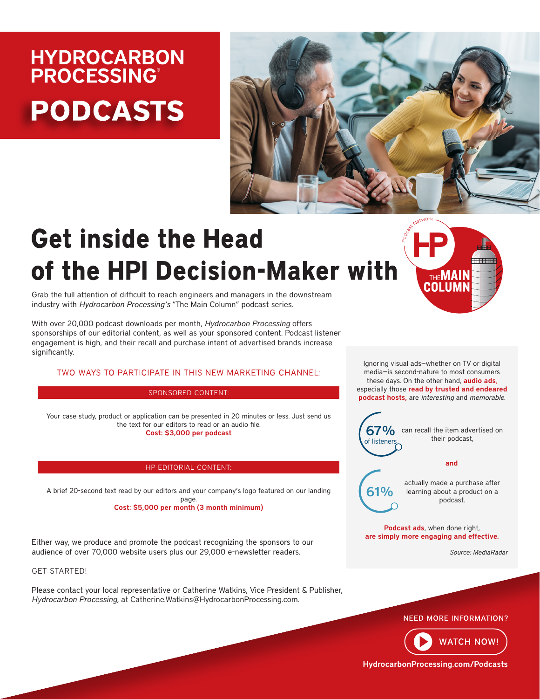# **HYDROCARBON PROCESSING® PODCASTS**



# **Get inside the Head** of the HPI Decision-Maker with

**THEMAIN** COLUMI

Grab the full attention of difficult to reach engineers and managers in the downstream industry with *Hydrocarbon Processing's* "The Main Column" podcast series.

With over 20,000 podcast downloads per month, *Hydrocarbon Processing* offers sponsorships of our editorial content, as well as your sponsored content. Podcast listener engagement is high, and their recall and purchase intent of advertised brands increase significantly.

## TWO WAYS TO PARTICIPATE IN THIS NEW MARKETING CHANNEL:

#### SPONSORED CONTENT:

Your case study, product or application can be presented in 20 minutes or less. Just send us the text for our editors to read or an audio file. Cost: \$3,000 per podcast

#### HP EDITORIAL CONTENT:

A brief 20-second text read by our editors and your company's logo featured on our landing page. Cost: \$5,000 per month (3 month minimum)

Either way, we produce and promote the podcast recognizing the sponsors to our audience of over 70,000 website users plus our 29,000 e-newsletter readers.

### [GET STARTED!](https://www.hydrocarbonprocessing.com/pages/advertising-contacts)

Please contact your local representative or Catherine Watkins, Vice President & Publisher, *Hydrocarbon Processing*, at Catherine.Watkins@HydrocarbonProcessing.com.

Ignoring visual ads—whether on TV or digital media—is second-nature to most consumers these days. On the other hand, **audio ads**, especially those read by trusted and endeared podcast hosts, are *interesting* and *memorable*.

of listeners

 $67\%$  can recall the item advertised on their podcast,

#### and

61%

actually made a purchase after learning about a product on a podcast.

Podcast ads, when done right, are simply more engaging and effective.

*Source: MediaRadar*





[HydrocarbonProcessing.com/Podcasts](https://www.hydrocarbonprocessing.com/podcasts)